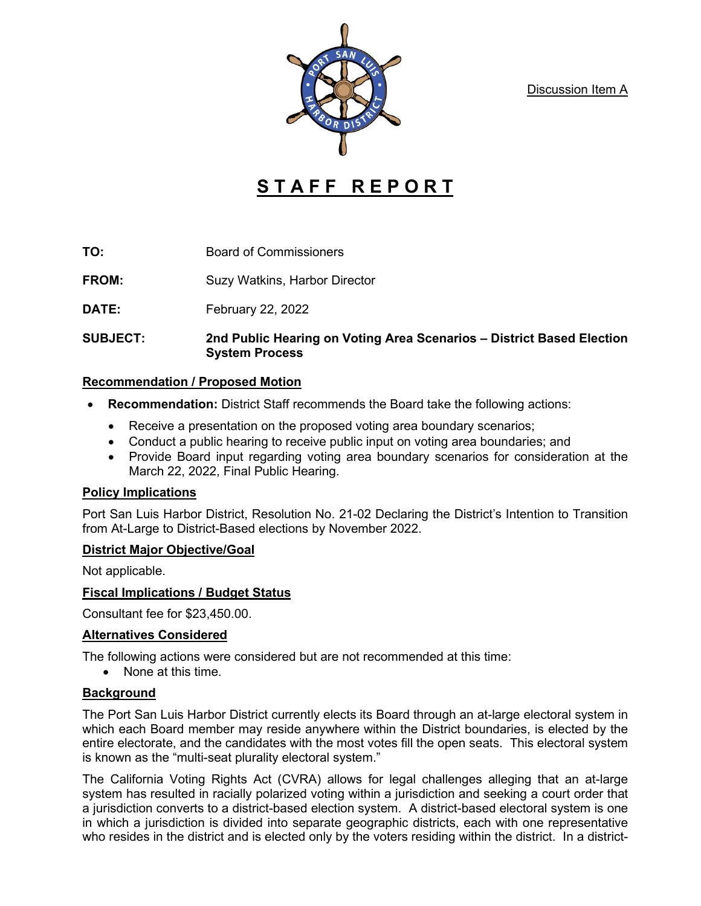Discussion Item A



# **STAFF REPORT**

**TO:** Board of Commissioners

**FROM:** Suzy Watkins, Harbor Director

**DATE:** February 22, 2022

**SUBJECT: 2nd Public Hearing on Voting Area Scenarios – District Based Election System Process**

## **Recommendation / Proposed Motion**

- **Recommendation:** District Staff recommends the Board take the following actions:
	- Receive a presentation on the proposed voting area boundary scenarios;
	- Conduct a public hearing to receive public input on voting area boundaries; and
	- Provide Board input regarding voting area boundary scenarios for consideration at the March 22, 2022, Final Public Hearing.

## **Policy Implications**

Port San Luis Harbor District, Resolution No. 21-02 Declaring the District's Intention to Transition from At-Large to District-Based elections by November 2022.

## **District Major Objective/Goal**

Not applicable.

# **Fiscal Implications / Budget Status**

Consultant fee for \$23,450.00.

# **Alternatives Considered**

The following actions were considered but are not recommended at this time:

• None at this time.

# **Background**

The Port San Luis Harbor District currently elects its Board through an at-large electoral system in which each Board member may reside anywhere within the District boundaries, is elected by the entire electorate, and the candidates with the most votes fill the open seats. This electoral system is known as the "multi-seat plurality electoral system."

The California Voting Rights Act (CVRA) allows for legal challenges alleging that an at-large system has resulted in racially polarized voting within a jurisdiction and seeking a court order that a jurisdiction converts to a district-based election system. A district-based electoral system is one in which a jurisdiction is divided into separate geographic districts, each with one representative who resides in the district and is elected only by the voters residing within the district. In a district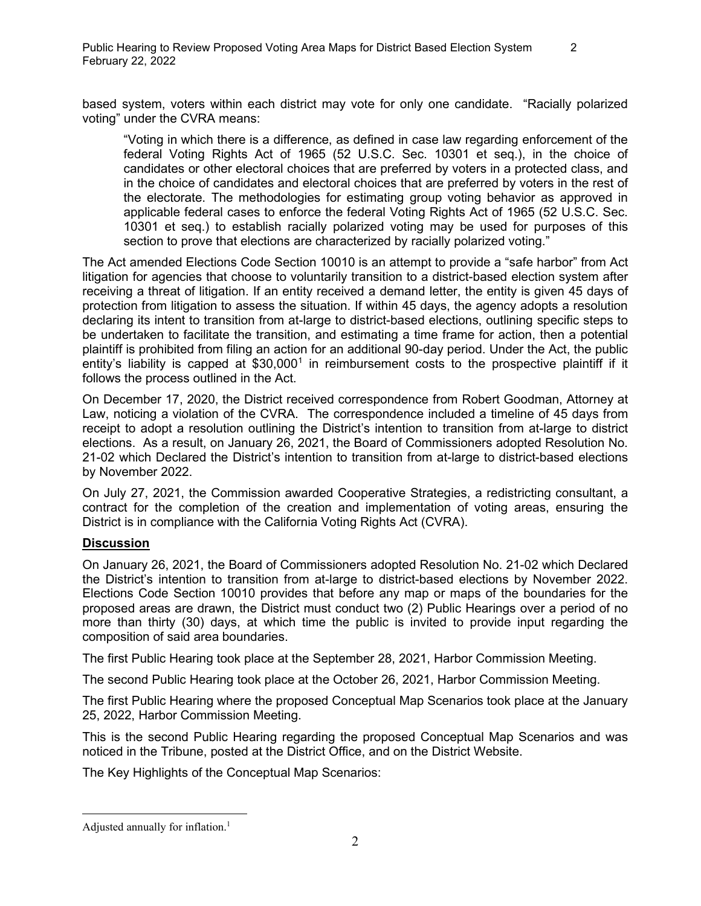based system, voters within each district may vote for only one candidate. "Racially polarized voting" under the CVRA means:

"Voting in which there is a difference, as defined in case law regarding enforcement of the federal Voting Rights Act of 1965 (52 U.S.C. Sec. 10301 et seq.), in the choice of candidates or other electoral choices that are preferred by voters in a protected class, and in the choice of candidates and electoral choices that are preferred by voters in the rest of the electorate. The methodologies for estimating group voting behavior as approved in applicable federal cases to enforce the federal Voting Rights Act of 1965 (52 U.S.C. Sec. 10301 et seq.) to establish racially polarized voting may be used for purposes of this section to prove that elections are characterized by racially polarized voting."

The Act amended Elections Code Section 10010 is an attempt to provide a "safe harbor" from Act litigation for agencies that choose to voluntarily transition to a district-based election system after receiving a threat of litigation. If an entity received a demand letter, the entity is given 45 days of protection from litigation to assess the situation. If within 45 days, the agency adopts a resolution declaring its intent to transition from at-large to district-based elections, outlining specific steps to be undertaken to facilitate the transition, and estimating a time frame for action, then a potential plaintiff is prohibited from filing an action for an additional 90-day period. Under the Act, the public entity's liability is capped at  $$30,000<sup>1</sup>$  $$30,000<sup>1</sup>$  $$30,000<sup>1</sup>$  in reimbursement costs to the prospective plaintiff if it follows the process outlined in the Act.

On December 17, 2020, the District received correspondence from Robert Goodman, Attorney at Law, noticing a violation of the CVRA. The correspondence included a timeline of 45 days from receipt to adopt a resolution outlining the District's intention to transition from at-large to district elections. As a result, on January 26, 2021, the Board of Commissioners adopted Resolution No. 21-02 which Declared the District's intention to transition from at-large to district-based elections by November 2022.

On July 27, 2021, the Commission awarded Cooperative Strategies, a redistricting consultant, a contract for the completion of the creation and implementation of voting areas, ensuring the District is in compliance with the California Voting Rights Act (CVRA).

## **Discussion**

On January 26, 2021, the Board of Commissioners adopted Resolution No. 21-02 which Declared the District's intention to transition from at-large to district-based elections by November 2022. Elections Code Section 10010 provides that before any map or maps of the boundaries for the proposed areas are drawn, the District must conduct two (2) Public Hearings over a period of no more than thirty (30) days, at which time the public is invited to provide input regarding the composition of said area boundaries.

The first Public Hearing took place at the September 28, 2021, Harbor Commission Meeting.

The second Public Hearing took place at the October 26, 2021, Harbor Commission Meeting.

The first Public Hearing where the proposed Conceptual Map Scenarios took place at the January 25, 2022, Harbor Commission Meeting.

This is the second Public Hearing regarding the proposed Conceptual Map Scenarios and was noticed in the Tribune, posted at the District Office, and on the District Website.

The Key Highlights of the Conceptual Map Scenarios:

<span id="page-1-0"></span>Adjusted annually for inflation.<sup>1</sup>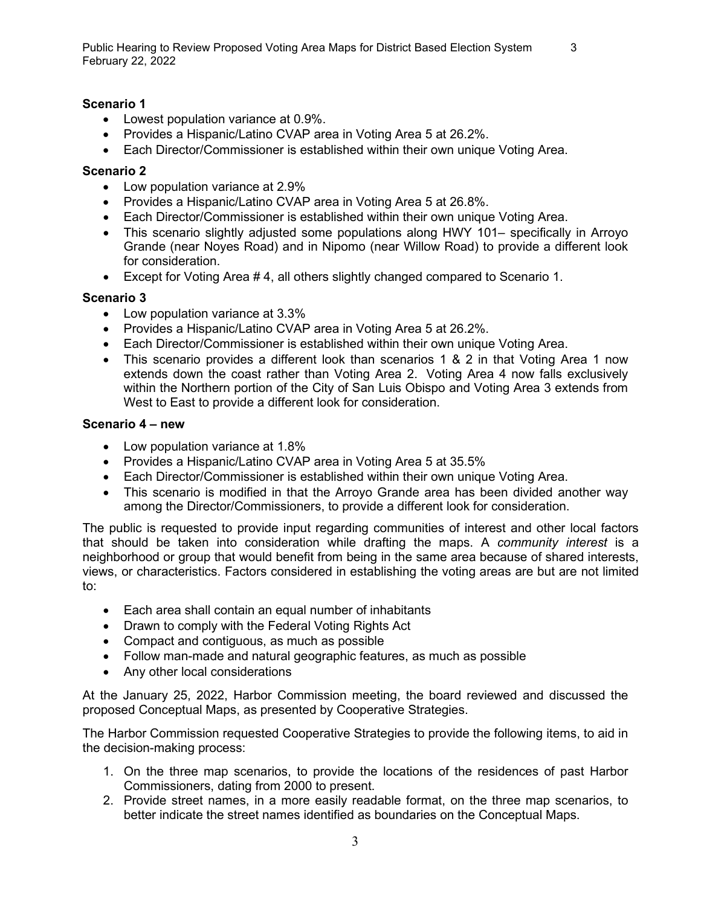### **Scenario 1**

- Lowest population variance at 0.9%.
- Provides a Hispanic/Latino CVAP area in Voting Area 5 at 26.2%.
- Each Director/Commissioner is established within their own unique Voting Area.

#### **Scenario 2**

- Low population variance at 2.9%
- Provides a Hispanic/Latino CVAP area in Voting Area 5 at 26.8%.
- Each Director/Commissioner is established within their own unique Voting Area.
- This scenario slightly adjusted some populations along HWY 101– specifically in Arroyo Grande (near Noyes Road) and in Nipomo (near Willow Road) to provide a different look for consideration.
- Except for Voting Area # 4, all others slightly changed compared to Scenario 1.

#### **Scenario 3**

- Low population variance at 3.3%
- Provides a Hispanic/Latino CVAP area in Voting Area 5 at 26.2%.
- Each Director/Commissioner is established within their own unique Voting Area.
- This scenario provides a different look than scenarios 1 & 2 in that Voting Area 1 now extends down the coast rather than Voting Area 2. Voting Area 4 now falls exclusively within the Northern portion of the City of San Luis Obispo and Voting Area 3 extends from West to East to provide a different look for consideration.

#### **Scenario 4 – new**

- Low population variance at 1.8%
- Provides a Hispanic/Latino CVAP area in Voting Area 5 at 35.5%
- Each Director/Commissioner is established within their own unique Voting Area.
- This scenario is modified in that the Arroyo Grande area has been divided another way among the Director/Commissioners, to provide a different look for consideration.

The public is requested to provide input regarding communities of interest and other local factors that should be taken into consideration while drafting the maps. A *community interest* is a neighborhood or group that would benefit from being in the same area because of shared interests, views, or characteristics. Factors considered in establishing the voting areas are but are not limited to:

- Each area shall contain an equal number of inhabitants
- Drawn to comply with the Federal Voting Rights Act
- Compact and contiguous, as much as possible
- Follow man-made and natural geographic features, as much as possible
- Any other local considerations

At the January 25, 2022, Harbor Commission meeting, the board reviewed and discussed the proposed Conceptual Maps, as presented by Cooperative Strategies.

The Harbor Commission requested Cooperative Strategies to provide the following items, to aid in the decision-making process:

- 1. On the three map scenarios, to provide the locations of the residences of past Harbor Commissioners, dating from 2000 to present.
- 2. Provide street names, in a more easily readable format, on the three map scenarios, to better indicate the street names identified as boundaries on the Conceptual Maps.